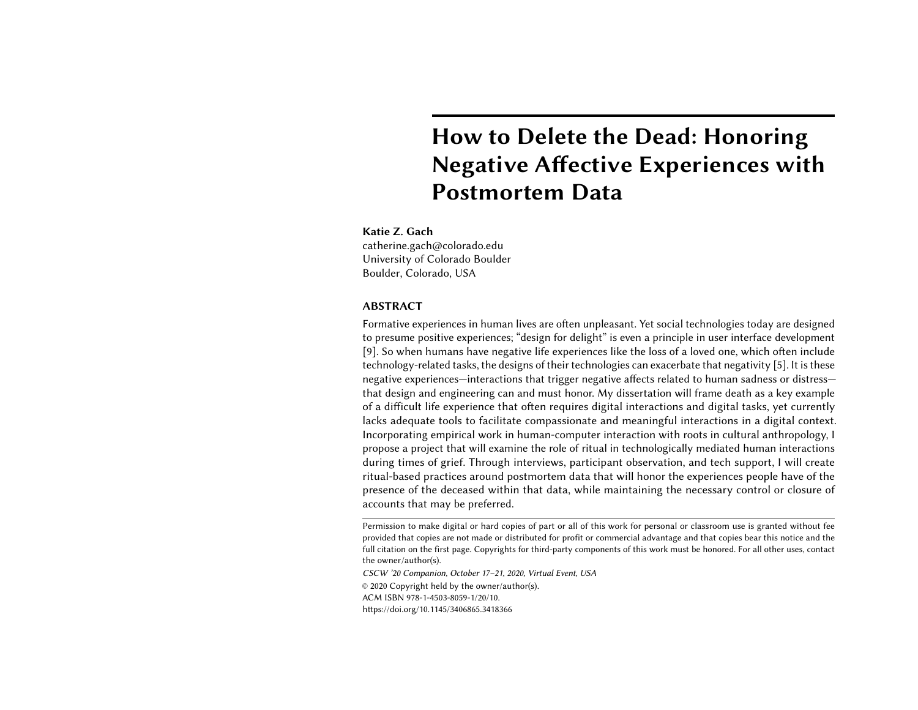# How to Delete the Dead: Honoring Negative Affective Experiences with Postmortem Data

# Katie Z. Gach

catherine.gach@colorado.edu University of Colorado Boulder Boulder, Colorado, USA

#### ABSTRACT

Formative experiences in human lives are often unpleasant. Yet social technologies today are designed to presume positive experiences; "design for delight" is even a principle in user interface development [\[9\]](#page-5-0). So when humans have negative life experiences like the loss of a loved one, which often include technology-related tasks, the designs of their technologies can exacerbate that negativity [\[5\]](#page-5-1). It is these negative experiences—interactions that trigger negative affects related to human sadness or distress that design and engineering can and must honor. My dissertation will frame death as a key example of a difficult life experience that often requires digital interactions and digital tasks, yet currently lacks adequate tools to facilitate compassionate and meaningful interactions in a digital context. Incorporating empirical work in human-computer interaction with roots in cultural anthropology, I propose a project that will examine the role of ritual in technologically mediated human interactions during times of grief. Through interviews, participant observation, and tech support, I will create ritual-based practices around postmortem data that will honor the experiences people have of the presence of the deceased within that data, while maintaining the necessary control or closure of accounts that may be preferred.

Permission to make digital or hard copies of part or all of this work for personal or classroom use is granted without fee provided that copies are not made or distributed for profit or commercial advantage and that copies bear this notice and the full citation on the first page. Copyrights for third-party components of this work must be honored. For all other uses, contact the owner/author(s).

CSCW '20 Companion, October 17–21, 2020, Virtual Event, USA

© 2020 Copyright held by the owner/author(s).

ACM ISBN 978-1-4503-8059-1/20/10.

<https://doi.org/10.1145/3406865.3418366>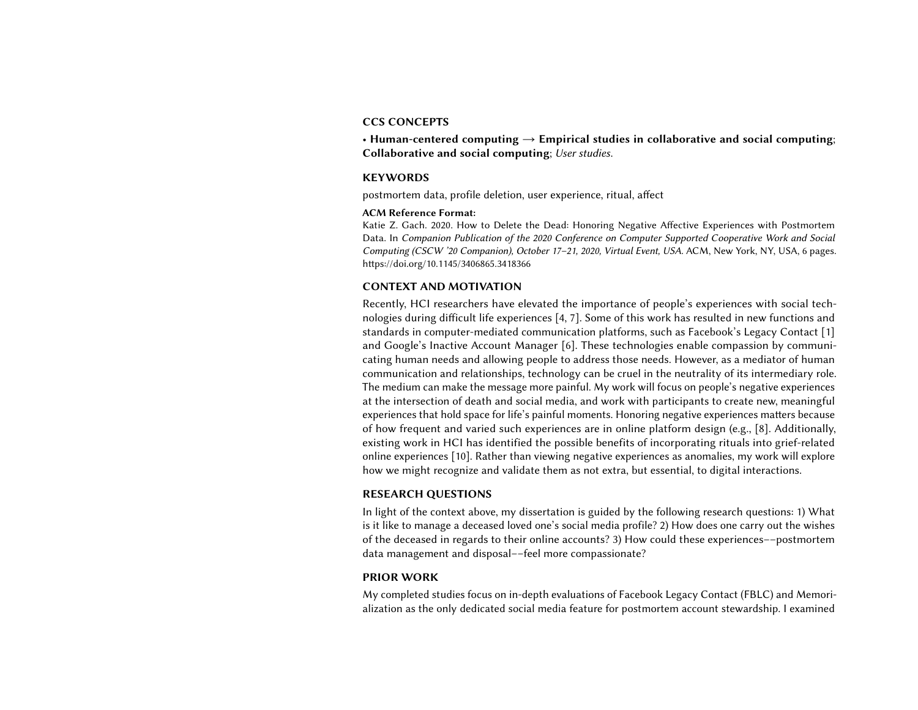#### CCS CONCEPTS

• Human-centered computing  $\rightarrow$  Empirical studies in collaborative and social computing; Collaborative and social computing; User studies.

#### **KEYWORDS**

postmortem data, profile deletion, user experience, ritual, affect

## ACM Reference Format:

Katie Z. Gach. 2020. How to Delete the Dead: Honoring Negative Affective Experiences with Postmortem Data. In Companion Publication of the 2020 Conference on Computer Supported Cooperative Work and Social Computing (CSCW '20 Companion), October 17–21, 2020, Virtual Event, USA. ACM, New York, NY, USA, [6](#page-5-2) pages. <https://doi.org/10.1145/3406865.3418366>

#### CONTEXT AND MOTIVATION

Recently, HCI researchers have elevated the importance of people's experiences with social technologies during difficult life experiences [\[4,](#page-5-3) [7\]](#page-5-4). Some of this work has resulted in new functions and standards in computer-mediated communication platforms, such as Facebook's Legacy Contact [\[1\]](#page-5-5) and Google's Inactive Account Manager [\[6\]](#page-5-6). These technologies enable compassion by communicating human needs and allowing people to address those needs. However, as a mediator of human communication and relationships, technology can be cruel in the neutrality of its intermediary role. The medium can make the message more painful. My work will focus on people's negative experiences at the intersection of death and social media, and work with participants to create new, meaningful experiences that hold space for life's painful moments. Honoring negative experiences matters because of how frequent and varied such experiences are in online platform design (e.g., [\[8\]](#page-5-7). Additionally, existing work in HCI has identified the possible benefits of incorporating rituals into grief-related online experiences [\[10\]](#page-5-8). Rather than viewing negative experiences as anomalies, my work will explore how we might recognize and validate them as not extra, but essential, to digital interactions.

## RESEARCH QUESTIONS

In light of the context above, my dissertation is guided by the following research questions: 1) What is it like to manage a deceased loved one's social media profile? 2) How does one carry out the wishes of the deceased in regards to their online accounts? 3) How could these experiences––postmortem data management and disposal––feel more compassionate?

#### PRIOR WORK

My completed studies focus on in-depth evaluations of Facebook Legacy Contact (FBLC) and Memorialization as the only dedicated social media feature for postmortem account stewardship. I examined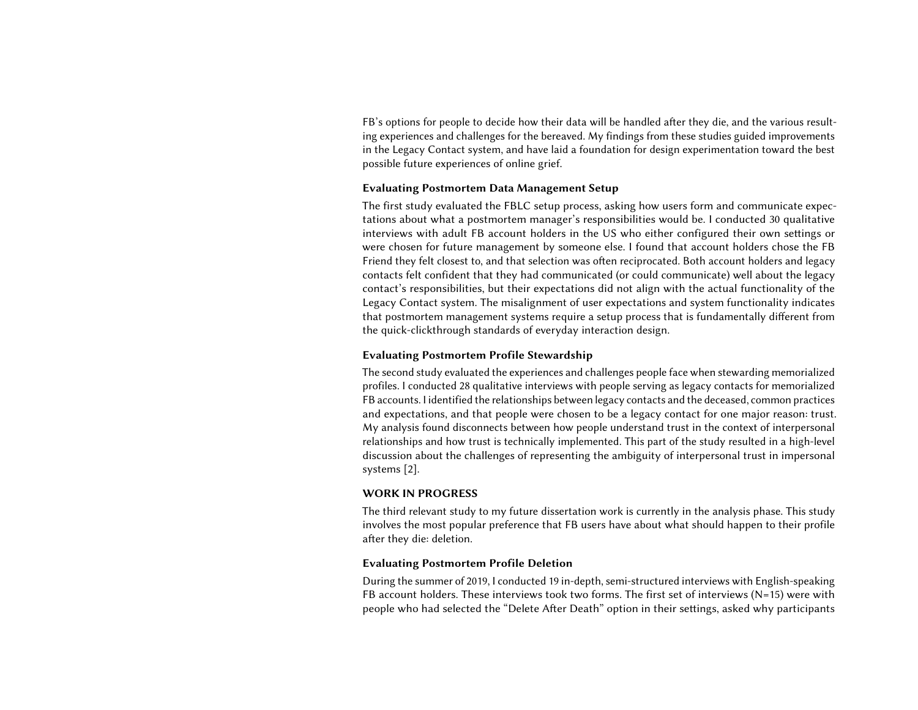FB's options for people to decide how their data will be handled after they die, and the various resulting experiences and challenges for the bereaved. My findings from these studies guided improvements in the Legacy Contact system, and have laid a foundation for design experimentation toward the best possible future experiences of online grief.

#### Evaluating Postmortem Data Management Setup

The first study evaluated the FBLC setup process, asking how users form and communicate expectations about what a postmortem manager's responsibilities would be. I conducted 30 qualitative interviews with adult FB account holders in the US who either configured their own settings or were chosen for future management by someone else. I found that account holders chose the FB Friend they felt closest to, and that selection was often reciprocated. Both account holders and legacy contacts felt confident that they had communicated (or could communicate) well about the legacy contact's responsibilities, but their expectations did not align with the actual functionality of the Legacy Contact system. The misalignment of user expectations and system functionality indicates that postmortem management systems require a setup process that is fundamentally different from the quick-clickthrough standards of everyday interaction design.

#### Evaluating Postmortem Profile Stewardship

The second study evaluated the experiences and challenges people face when stewarding memorialized profiles. I conducted 28 qualitative interviews with people serving as legacy contacts for memorialized FB accounts. I identified the relationships between legacy contacts and the deceased, common practices and expectations, and that people were chosen to be a legacy contact for one major reason: trust. My analysis found disconnects between how people understand trust in the context of interpersonal relationships and how trust is technically implemented. This part of the study resulted in a high-level discussion about the challenges of representing the ambiguity of interpersonal trust in impersonal systems [\[2\]](#page-5-9).

## WORK IN PROGRESS

The third relevant study to my future dissertation work is currently in the analysis phase. This study involves the most popular preference that FB users have about what should happen to their profile after they die: deletion.

## Evaluating Postmortem Profile Deletion

During the summer of 2019, I conducted 19 in-depth, semi-structured interviews with English-speaking FB account holders. These interviews took two forms. The first set of interviews (N=15) were with people who had selected the "Delete After Death" option in their settings, asked why participants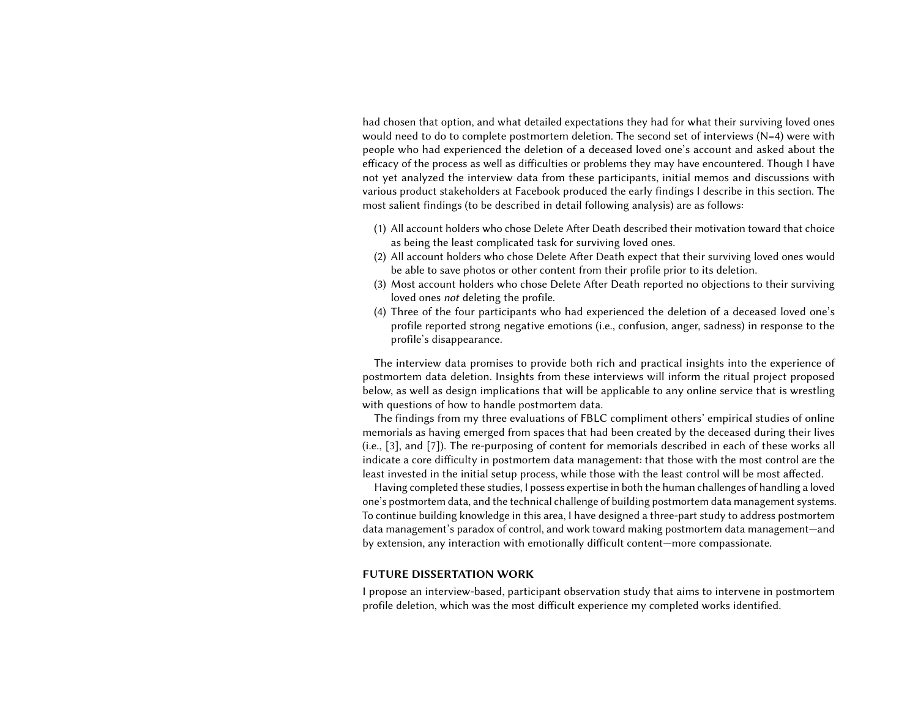had chosen that option, and what detailed expectations they had for what their surviving loved ones would need to do to complete postmortem deletion. The second set of interviews (N=4) were with people who had experienced the deletion of a deceased loved one's account and asked about the efficacy of the process as well as difficulties or problems they may have encountered. Though I have not yet analyzed the interview data from these participants, initial memos and discussions with various product stakeholders at Facebook produced the early findings I describe in this section. The most salient findings (to be described in detail following analysis) are as follows:

- (1) All account holders who chose Delete After Death described their motivation toward that choice as being the least complicated task for surviving loved ones.
- (2) All account holders who chose Delete After Death expect that their surviving loved ones would be able to save photos or other content from their profile prior to its deletion.
- (3) Most account holders who chose Delete After Death reported no objections to their surviving loved ones not deleting the profile.
- (4) Three of the four participants who had experienced the deletion of a deceased loved one's profile reported strong negative emotions (i.e., confusion, anger, sadness) in response to the profile's disappearance.

The interview data promises to provide both rich and practical insights into the experience of postmortem data deletion. Insights from these interviews will inform the ritual project proposed below, as well as design implications that will be applicable to any online service that is wrestling with questions of how to handle postmortem data.

The findings from my three evaluations of FBLC compliment others' empirical studies of online memorials as having emerged from spaces that had been created by the deceased during their lives (i.e., [\[3\]](#page-5-10), and [\[7\]](#page-5-4)). The re-purposing of content for memorials described in each of these works all indicate a core difficulty in postmortem data management: that those with the most control are the least invested in the initial setup process, while those with the least control will be most affected.

Having completed these studies, I possess expertise in both the human challenges of handling a loved one's postmortem data, and the technical challenge of building postmortem data management systems. To continue building knowledge in this area, I have designed a three-part study to address postmortem data management's paradox of control, and work toward making postmortem data management—and by extension, any interaction with emotionally difficult content—more compassionate.

#### FUTURE DISSERTATION WORK

I propose an interview-based, participant observation study that aims to intervene in postmortem profile deletion, which was the most difficult experience my completed works identified.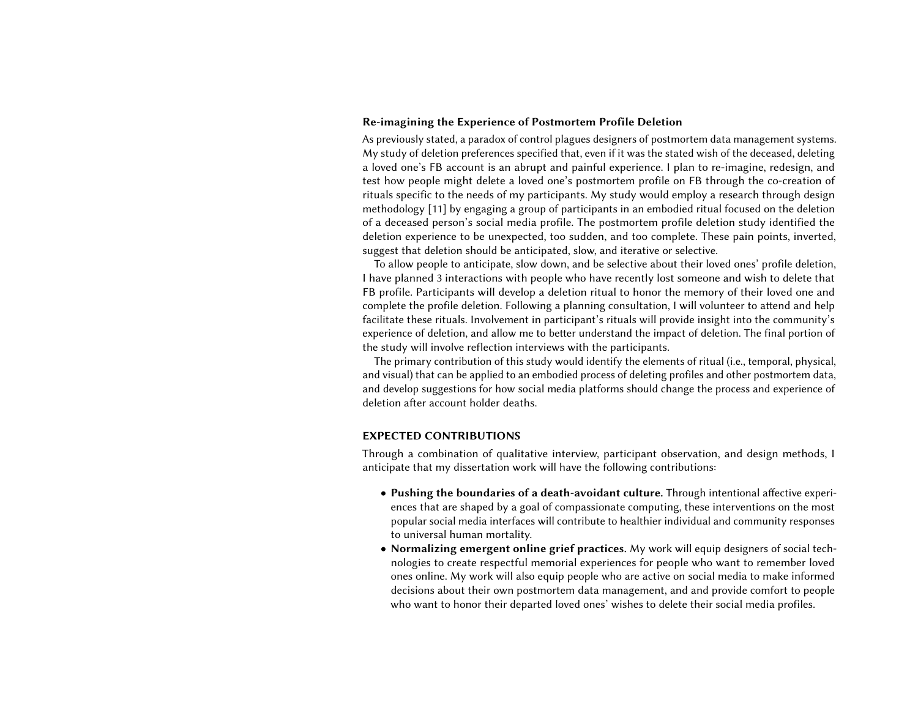#### Re-imagining the Experience of Postmortem Profile Deletion

As previously stated, a paradox of control plagues designers of postmortem data management systems. My study of deletion preferences specified that, even if it was the stated wish of the deceased, deleting a loved one's FB account is an abrupt and painful experience. I plan to re-imagine, redesign, and test how people might delete a loved one's postmortem profile on FB through the co-creation of rituals specific to the needs of my participants. My study would employ a research through design methodology [\[11\]](#page-5-11) by engaging a group of participants in an embodied ritual focused on the deletion of a deceased person's social media profile. The postmortem profile deletion study identified the deletion experience to be unexpected, too sudden, and too complete. These pain points, inverted, suggest that deletion should be anticipated, slow, and iterative or selective.

To allow people to anticipate, slow down, and be selective about their loved ones' profile deletion, I have planned 3 interactions with people who have recently lost someone and wish to delete that FB profile. Participants will develop a deletion ritual to honor the memory of their loved one and complete the profile deletion. Following a planning consultation, I will volunteer to attend and help facilitate these rituals. Involvement in participant's rituals will provide insight into the community's experience of deletion, and allow me to better understand the impact of deletion. The final portion of the study will involve reflection interviews with the participants.

The primary contribution of this study would identify the elements of ritual (i.e., temporal, physical, and visual) that can be applied to an embodied process of deleting profiles and other postmortem data, and develop suggestions for how social media platforms should change the process and experience of deletion after account holder deaths.

## EXPECTED CONTRIBUTIONS

Through a combination of qualitative interview, participant observation, and design methods, I anticipate that my dissertation work will have the following contributions:

- Pushing the boundaries of a death-avoidant culture. Through intentional affective experiences that are shaped by a goal of compassionate computing, these interventions on the most popular social media interfaces will contribute to healthier individual and community responses to universal human mortality.
- Normalizing emergent online grief practices. My work will equip designers of social technologies to create respectful memorial experiences for people who want to remember loved ones online. My work will also equip people who are active on social media to make informed decisions about their own postmortem data management, and and provide comfort to people who want to honor their departed loved ones' wishes to delete their social media profiles.